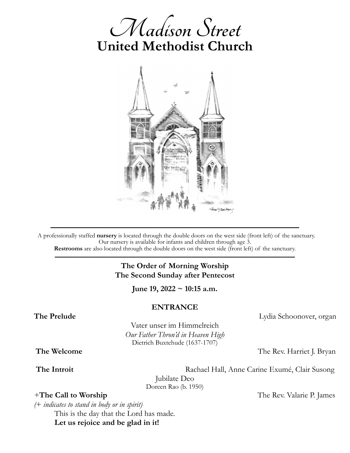



A professionally staffed **nursery** is located through the double doors on the west side (front left) of the sanctuary. Our nursery is available for infants and children through age 3.

**—————————————————————————————**

**Restrooms** are also located through the double doors on the west side (front left) of the sanctuary. **——————————————————————————————**

## **The Order of Morning Worship The Second Sunday after Pentecost**

**June 19, 2022 ~ 10:15 a.m.**

#### **ENTRANCE**

**The Prelude** Lydia Schoonover, organ

Vater unser im Himmelreich *Our Father Thron'd in Heaven High* Dietrich Buxtehude (1637-1707)

**The Welcome** The Rev. Harriet J. Bryan

 **The Introit** Rachael Hall, Anne Carine Exumé, Clair Susong

Jubilate Deo Doreen Rao (b. 1950)

*+***The Call to Worship The Rev. Valarie P. James The Rev. Valarie P. James** 

*(*+ *indicates to stand in body or in spirit)*

This is the day that the Lord has made. **Let us rejoice and be glad in it!**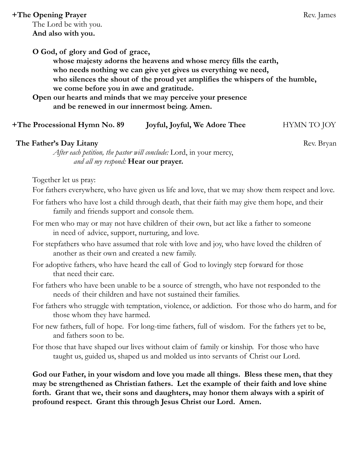## **+The Opening Prayer** Rev. James

The Lord be with you. **And also with you.**

**O God, of glory and God of grace, whose majesty adorns the heavens and whose mercy fills the earth, who needs nothing we can give yet gives us everything we need, who silences the shout of the proud yet amplifies the whispers of the humble, we come before you in awe and gratitude. Open our hearts and minds that we may perceive your presence** 

**and be renewed in our innermost being. Amen.** 

# **+The Processional Hymn No. 89** Joyful, Joyful, We Adore Thee **HYMN TO JOY**

### *The Father's Day Litany* Rev. Bryan

*After each petition, the pastor will conclude:* Lord, in your mercy, *and all my respond:* **Hear our prayer.**

Together let us pray:

For fathers everywhere, who have given us life and love, that we may show them respect and love.

- For fathers who have lost a child through death, that their faith may give them hope, and their family and friends support and console them.
- For men who may or may not have children of their own, but act like a father to someone in need of advice, support, nurturing, and love.
- For stepfathers who have assumed that role with love and joy, who have loved the children of another as their own and created a new family.
- For adoptive fathers, who have heard the call of God to lovingly step forward for those that need their care.
- For fathers who have been unable to be a source of strength, who have not responded to the needs of their children and have not sustained their families.
- For fathers who struggle with temptation, violence, or addiction. For those who do harm, and for those whom they have harmed.
- For new fathers, full of hope. For long-time fathers, full of wisdom. For the fathers yet to be, and fathers soon to be.
- For those that have shaped our lives without claim of family or kinship. For those who have taught us, guided us, shaped us and molded us into servants of Christ our Lord.

**God our Father, in your wisdom and love you made all things. Bless these men, that they may be strengthened as Christian fathers. Let the example of their faith and love shine forth. Grant that we, their sons and daughters, may honor them always with a spirit of profound respect. Grant this through Jesus Christ our Lord. Amen.**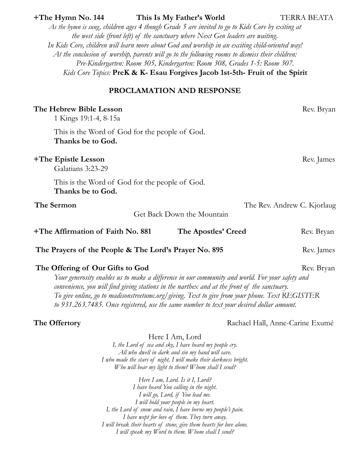| As the hymn is sung, children ages 4 though Grade 5 are invited to go to Kids Core by exiting at<br>the west side (front left) of the sanctuary where Next Gen leaders are waiting.<br>In Kids Core, children will learn more about God and worship in an exciting child-oriented way!<br>At the conclusion of worship, parents will go to the following rooms to dismiss their children:<br>Pre-Kindergarten: Room 305, Kindergarten: Room 308, Grades 1-5: Room 307.<br>Kids Core Topics: PreK & K- Esau Forgives Jacob 1st-5th- Fruit of the Spirit |                     |                             |
|--------------------------------------------------------------------------------------------------------------------------------------------------------------------------------------------------------------------------------------------------------------------------------------------------------------------------------------------------------------------------------------------------------------------------------------------------------------------------------------------------------------------------------------------------------|---------------------|-----------------------------|
| PROCLAMATION AND RESPONSE                                                                                                                                                                                                                                                                                                                                                                                                                                                                                                                              |                     |                             |
| The Hebrew Bible Lesson<br>1 Kings 19:1-4, 8-15a                                                                                                                                                                                                                                                                                                                                                                                                                                                                                                       |                     | Rev. Bryan                  |
| This is the Word of God for the people of God.<br>Thanks be to God.                                                                                                                                                                                                                                                                                                                                                                                                                                                                                    |                     |                             |
| +The Epistle Lesson<br>Galatians 3:23-29                                                                                                                                                                                                                                                                                                                                                                                                                                                                                                               |                     | Rev. James                  |
| This is the Word of God for the people of God.<br>Thanks be to God.                                                                                                                                                                                                                                                                                                                                                                                                                                                                                    |                     |                             |
| The Sermon                                                                                                                                                                                                                                                                                                                                                                                                                                                                                                                                             |                     | The Rev. Andrew C. Kjorlaug |
| Get Back Down the Mountain                                                                                                                                                                                                                                                                                                                                                                                                                                                                                                                             |                     |                             |
| +The Affirmation of Faith No. 881                                                                                                                                                                                                                                                                                                                                                                                                                                                                                                                      | The Apostles' Creed | Rev. Bryan                  |
| The Prayers of the People & The Lord's Prayer No. 895                                                                                                                                                                                                                                                                                                                                                                                                                                                                                                  |                     | Rev. James                  |
| The Offering of Our Gifts to God<br>Rev. Bryan<br>Your generosity enables us to make a difference in our community and world. For your safety and<br>convenience, you will find giving stations in the narthex and at the front of the sanctuary.<br>To give online, go to madisonstreetumc.org/giving. Text to give from your phone. Text REGISTER<br>to 931.263.7485. Once registered, use the same number to text your desired dollar amount.                                                                                                       |                     |                             |

**+The Hymn No. 144 This Is My Father's World** TERRA BEATA

The Offertory **Rachael Hall, Anne-Carine Exumé** 

Here I Am, Lord *I, the Lord of sea and sky, I have heard my people cry. All who dwell in dark and sin my hand will save. I who made the stars of night, I will make their darkness bright. Who will bear my light to them? Whom shall I send?*

*Here I am, Lord. Is it I, Lord? I have heard You calling in the night. I will go, Lord, if You lead me. I will hold your people in my heart. I, the Lord of snow and rain, I have borne my people's pain. I have wept for love of them. They turn away. I will break their hearts of stone, give them hearts for love alone. I will speak my Word to them. Whom shall I send?*